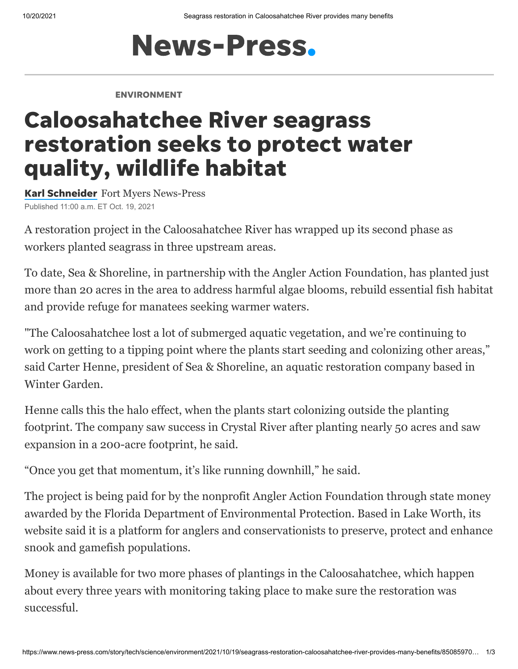## **News-Press.**

## ENVIRONMENT

## Caloosahatchee River seagrass restoration seeks to protect water quality, wildlife habitat

Karl [Schneider](https://www.naplesnews.com/staff/2647170001/karl-schneider/) Fort Myers News-Press Published 11:00 a.m. ET Oct. 19, 2021

A restoration project in the Caloosahatchee River has wrapped up its second phase as workers planted seagrass in three upstream areas.

To date, Sea & Shoreline, in partnership with the Angler Action Foundation, has planted just more than 20 acres in the area to address harmful algae blooms, rebuild essential fish habitat and provide refuge for manatees seeking warmer waters.

"The Caloosahatchee lost a lot of submerged aquatic vegetation, and we're continuing to work on getting to a tipping point where the plants start seeding and colonizing other areas," said Carter Henne, president of Sea & Shoreline, an aquatic restoration company based in Winter Garden.

Henne calls this the halo effect, when the plants start colonizing outside the planting footprint. The company saw success in Crystal River after planting nearly 50 acres and saw expansion in a 200-acre footprint, he said.

"Once you get that momentum, it's like running downhill," he said.

The project is being paid for by the nonprofit Angler Action Foundation through state money awarded by the Florida Department of Environmental Protection. Based in Lake Worth, its website said it is a platform for anglers and conservationists to preserve, protect and enhance snook and gamefish populations.

Money is available for two more phases of plantings in the Caloosahatchee, which happen about every three years with monitoring taking place to make sure the restoration was successful.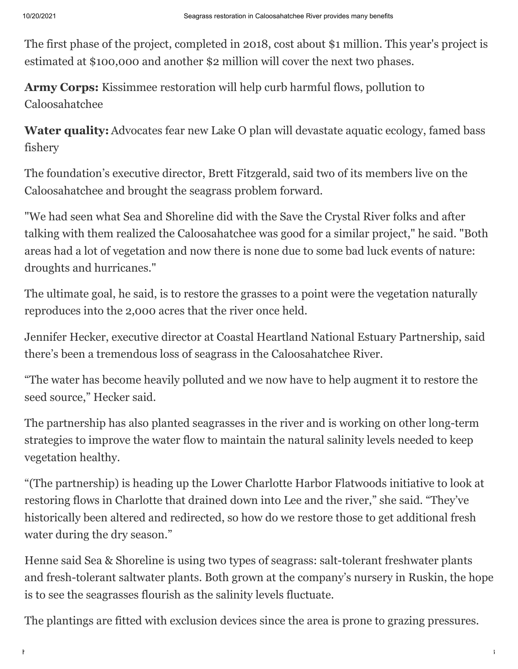The first phase of the project, completed in 2018, cost about \$1 million. This year's project is estimated at \$100,000 and another \$2 million will cover the next two phases.

**Army Corps:** [Kissimmee restoration will help curb harmful flows, pollution to](https://www.news-press.com/story/news/2021/07/29/everglades-restoration-project-clean-up-caloosahatchee-river-southwest-florida-water/5403855001/) Caloosahatchee

**Water quality:** [Advocates fear new Lake O plan will devastate aquatic ecology, famed bass](https://www.news-press.com/story/news/2021/10/06/lake-o-ecology-fisheries-suffer-under-new-plan-critics-say/5903688001/) fishery

The foundation's executive director, Brett Fitzgerald, said two of its members live on the Caloosahatchee and brought the seagrass problem forward.

"We had seen what Sea and Shoreline did with the Save the Crystal River folks and after talking with them realized the Caloosahatchee was good for a similar project," he said. "Both areas had a lot of vegetation and now there is none due to some bad luck events of nature: droughts and hurricanes."

The ultimate goal, he said, is to restore the grasses to a point were the vegetation naturally reproduces into the 2,000 acres that the river once held.

Jennifer Hecker, executive director at Coastal Heartland National Estuary Partnership, said there's been a tremendous loss of seagrass in the Caloosahatchee River.

"The water has become heavily polluted and we now have to help augment it to restore the seed source," Hecker said.

The partnership has also planted seagrasses in the river and is working on other long-term strategies to improve the water flow to maintain the natural salinity levels needed to keep vegetation healthy.

"(The partnership) is heading up the Lower Charlotte Harbor Flatwoods initiative to look at restoring flows in Charlotte that drained down into Lee and the river," she said. "They've historically been altered and redirected, so how do we restore those to get additional fresh water during the dry season."

Henne said Sea & Shoreline is using two types of seagrass: salt-tolerant freshwater plants and fresh-tolerant saltwater plants. Both grown at the company's nursery in Ruskin, the hope is to see the seagrasses flourish as the salinity levels fluctuate.

The plantings are fitted with exclusion devices since the area is prone to grazing pressures.